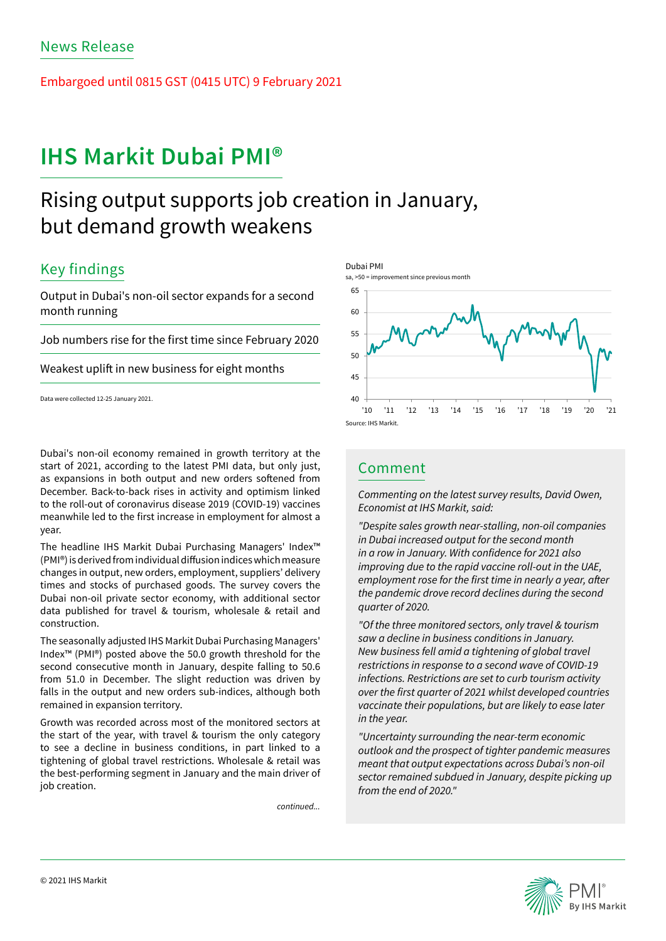Embargoed until 0815 GST (0415 UTC) 9 February 2021

# **IHS Markit Dubai PMI®**

# Rising output supports job creation in January, but demand growth weakens

## Key findings

Output in Dubai's non-oil sector expands for a second month running

Job numbers rise for the first time since February 2020

Weakest uplift in new business for eight months

Data were collected 12-25 January 2021.

Dubai's non-oil economy remained in growth territory at the start of 2021, according to the latest PMI data, but only just, as expansions in both output and new orders softened from December. Back-to-back rises in activity and optimism linked to the roll-out of coronavirus disease 2019 (COVID-19) vaccines meanwhile led to the first increase in employment for almost a year.

The headline IHS Markit Dubai Purchasing Managers' Index™ (PMI®) is derived from individual diffusion indices which measure changes in output, new orders, employment, suppliers' delivery times and stocks of purchased goods. The survey covers the Dubai non-oil private sector economy, with additional sector data published for travel & tourism, wholesale & retail and construction.

The seasonally adjusted IHS Markit Dubai Purchasing Managers' Index™ (PMI®) posted above the 50.0 growth threshold for the second consecutive month in January, despite falling to 50.6 from 51.0 in December. The slight reduction was driven by falls in the output and new orders sub-indices, although both remained in expansion territory.

Growth was recorded across most of the monitored sectors at the start of the year, with travel & tourism the only category to see a decline in business conditions, in part linked to a tightening of global travel restrictions. Wholesale & retail was the best-performing segment in January and the main driver of job creation.

*continued...*



## Comment

*Commenting on the latest survey results, David Owen, Economist at IHS Markit, said:* 

*"Despite sales growth near-stalling, non-oil companies in Dubai increased output for the second month*  in a row in January. With confidence for 2021 also *improving due to the rapid vaccine roll-out in the UAE,*  employment rose for the first time in nearly a year, after *the pandemic drove record declines during the second*  quarter of 2020.

*"Of the three monitored sectors, only travel & tourism saw a decline in business conditions in January. New business fell amid a tightening of global travel*  restrictions in response to a second wave of COVID-19 *infections. Restrictions are set to curb tourism activity*  over the first quarter of 2021 whilst developed countries *vaccinate their populations, but are likely to ease later in the year.* 

*"Uncertainty surrounding the near-term economic outlook and the prospect of tighter pandemic measures meant that output expectations across Dubai's non-oil sector remained subdued in January, despite picking up*  from the end of 2020."